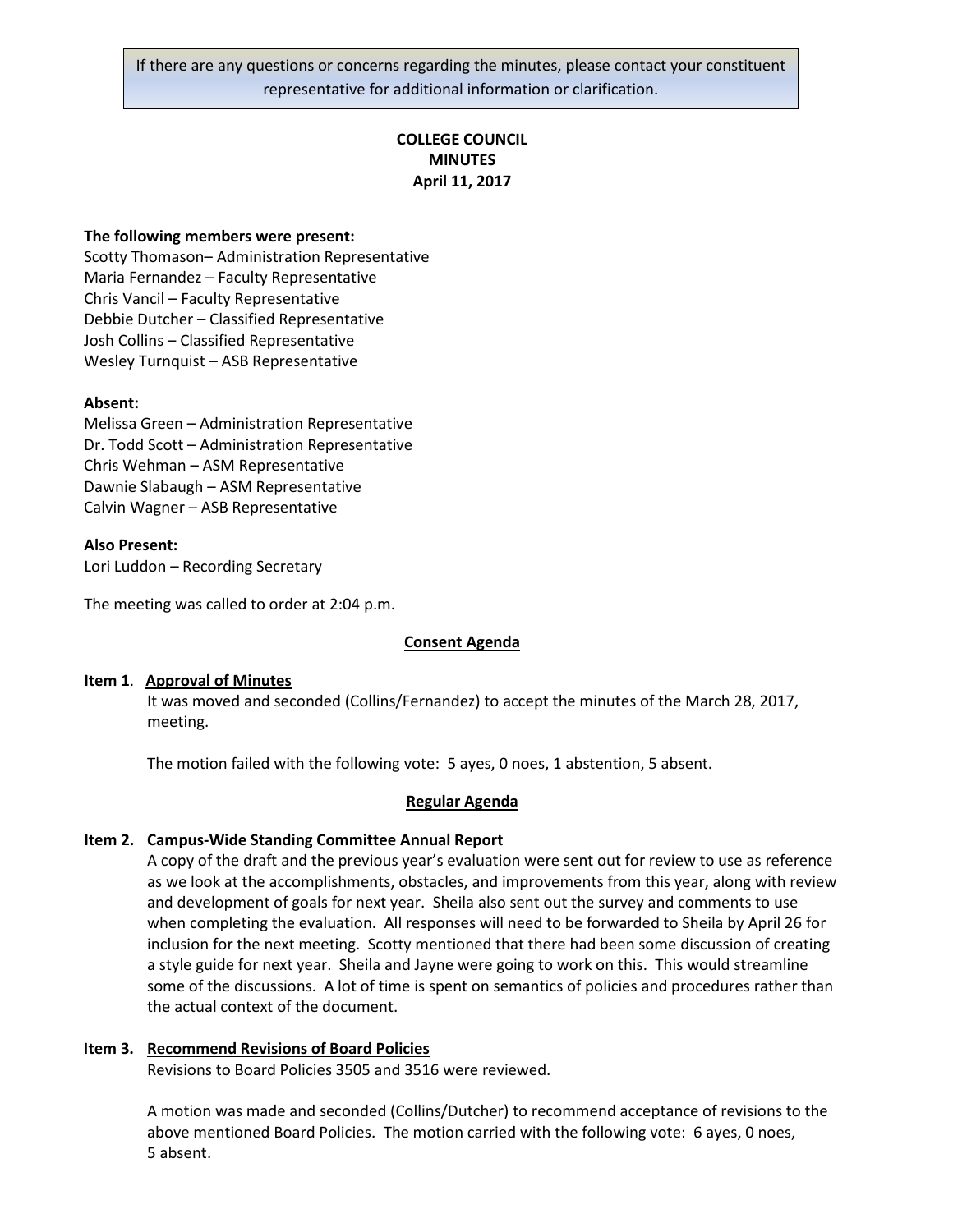If there are any questions or concerns regarding the minutes, please contact your constituent representative for additional information or clarification.

# **COLLEGE COUNCIL MINUTES April 11, 2017**

#### **The following members were present:**

Scotty Thomason– Administration Representative Maria Fernandez – Faculty Representative Chris Vancil – Faculty Representative Debbie Dutcher – Classified Representative Josh Collins – Classified Representative Wesley Turnquist – ASB Representative

### **Absent:**

Melissa Green – Administration Representative Dr. Todd Scott – Administration Representative Chris Wehman – ASM Representative Dawnie Slabaugh – ASM Representative Calvin Wagner – ASB Representative

#### **Also Present:**

Lori Luddon – Recording Secretary

The meeting was called to order at 2:04 p.m.

#### **Consent Agenda**

#### **Item 1**. **Approval of Minutes**

It was moved and seconded (Collins/Fernandez) to accept the minutes of the March 28, 2017, meeting.

The motion failed with the following vote: 5 ayes, 0 noes, 1 abstention, 5 absent.

#### **Regular Agenda**

#### **Item 2. Campus-Wide Standing Committee Annual Report**

A copy of the draft and the previous year's evaluation were sent out for review to use as reference as we look at the accomplishments, obstacles, and improvements from this year, along with review and development of goals for next year. Sheila also sent out the survey and comments to use when completing the evaluation. All responses will need to be forwarded to Sheila by April 26 for inclusion for the next meeting. Scotty mentioned that there had been some discussion of creating a style guide for next year. Sheila and Jayne were going to work on this. This would streamline some of the discussions. A lot of time is spent on semantics of policies and procedures rather than the actual context of the document.

#### I**tem 3. Recommend Revisions of Board Policies**

Revisions to Board Policies 3505 and 3516 were reviewed.

A motion was made and seconded (Collins/Dutcher) to recommend acceptance of revisions to the above mentioned Board Policies. The motion carried with the following vote: 6 ayes, 0 noes, 5 absent.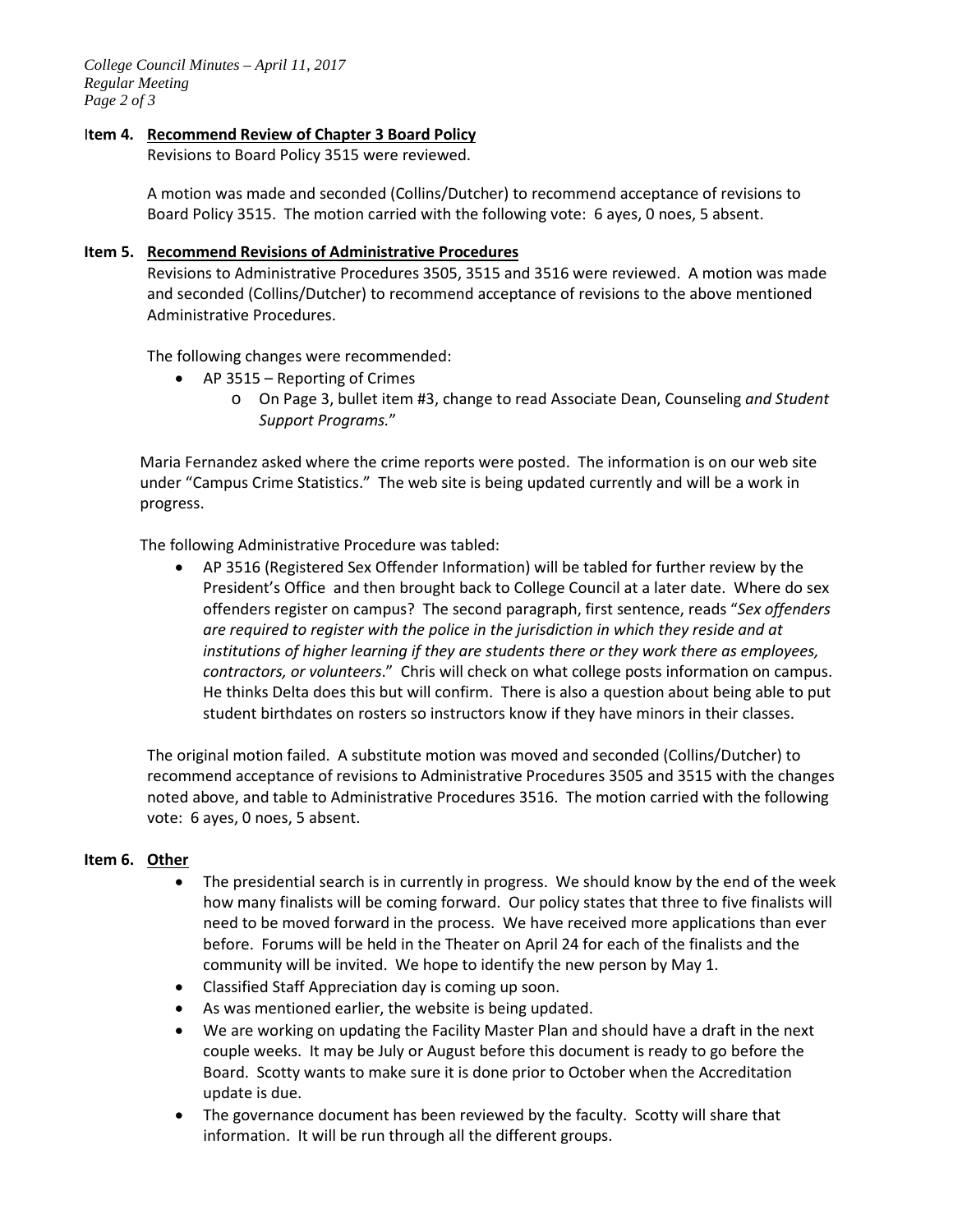*College Council Minutes – April 11, 2017 Regular Meeting Page 2 of 3*

## I**tem 4. Recommend Review of Chapter 3 Board Policy**

Revisions to Board Policy 3515 were reviewed.

A motion was made and seconded (Collins/Dutcher) to recommend acceptance of revisions to Board Policy 3515. The motion carried with the following vote: 6 ayes, 0 noes, 5 absent.

#### **Item 5. Recommend Revisions of Administrative Procedures**

Revisions to Administrative Procedures 3505, 3515 and 3516 were reviewed. A motion was made and seconded (Collins/Dutcher) to recommend acceptance of revisions to the above mentioned Administrative Procedures.

The following changes were recommended:

- AP 3515 Reporting of Crimes
	- o On Page 3, bullet item #3, change to read Associate Dean, Counseling *and Student Support Programs.*"

Maria Fernandez asked where the crime reports were posted. The information is on our web site under "Campus Crime Statistics." The web site is being updated currently and will be a work in progress.

The following Administrative Procedure was tabled:

• AP 3516 (Registered Sex Offender Information) will be tabled for further review by the President's Office and then brought back to College Council at a later date. Where do sex offenders register on campus? The second paragraph, first sentence, reads "*Sex offenders are required to register with the police in the jurisdiction in which they reside and at institutions of higher learning if they are students there or they work there as employees, contractors, or volunteers*." Chris will check on what college posts information on campus. He thinks Delta does this but will confirm. There is also a question about being able to put student birthdates on rosters so instructors know if they have minors in their classes.

The original motion failed. A substitute motion was moved and seconded (Collins/Dutcher) to recommend acceptance of revisions to Administrative Procedures 3505 and 3515 with the changes noted above, and table to Administrative Procedures 3516. The motion carried with the following vote: 6 ayes, 0 noes, 5 absent.

## **Item 6. Other**

- The presidential search is in currently in progress. We should know by the end of the week how many finalists will be coming forward. Our policy states that three to five finalists will need to be moved forward in the process. We have received more applications than ever before. Forums will be held in the Theater on April 24 for each of the finalists and the community will be invited. We hope to identify the new person by May 1.
- Classified Staff Appreciation day is coming up soon.
- As was mentioned earlier, the website is being updated.
- We are working on updating the Facility Master Plan and should have a draft in the next couple weeks. It may be July or August before this document is ready to go before the Board. Scotty wants to make sure it is done prior to October when the Accreditation update is due.
- The governance document has been reviewed by the faculty. Scotty will share that information. It will be run through all the different groups.